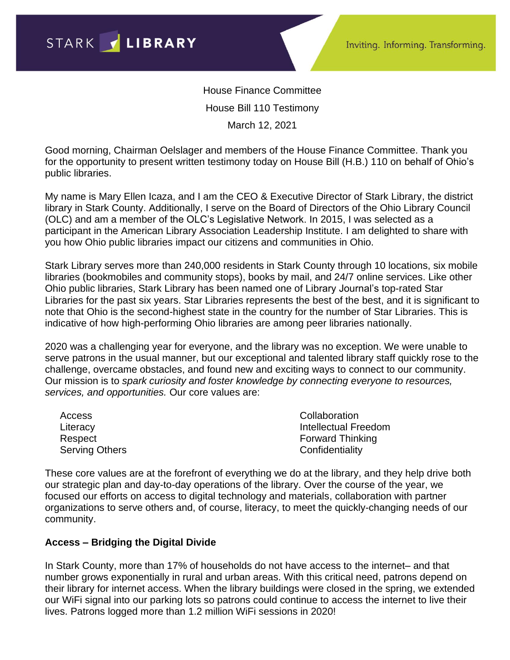House Finance Committee House Bill 110 Testimony March 12, 2021

Good morning, Chairman Oelslager and members of the House Finance Committee. Thank you for the opportunity to present written testimony today on House Bill (H.B.) 110 on behalf of Ohio's public libraries.

My name is Mary Ellen Icaza, and I am the CEO & Executive Director of Stark Library, the district library in Stark County. Additionally, I serve on the Board of Directors of the Ohio Library Council (OLC) and am a member of the OLC's Legislative Network. In 2015, I was selected as a participant in the American Library Association Leadership Institute. I am delighted to share with you how Ohio public libraries impact our citizens and communities in Ohio.

Stark Library serves more than 240,000 residents in Stark County through 10 locations, six mobile libraries (bookmobiles and community stops), books by mail, and 24/7 online services. Like other Ohio public libraries, Stark Library has been named one of Library Journal's top-rated Star Libraries for the past six years. Star Libraries represents the best of the best, and it is significant to note that Ohio is the second-highest state in the country for the number of Star Libraries. This is indicative of how high-performing Ohio libraries are among peer libraries nationally.

2020 was a challenging year for everyone, and the library was no exception. We were unable to serve patrons in the usual manner, but our exceptional and talented library staff quickly rose to the challenge, overcame obstacles, and found new and exciting ways to connect to our community. Our mission is to *spark curiosity and foster knowledge by connecting everyone to resources, services, and opportunities.* Our core values are:

| Access                | Collaboration           |
|-----------------------|-------------------------|
| Literacy              | Intellectual Freedom    |
| Respect               | <b>Forward Thinking</b> |
| <b>Serving Others</b> | Confidentiality         |

These core values are at the forefront of everything we do at the library, and they help drive both our strategic plan and day-to-day operations of the library. Over the course of the year, we focused our efforts on access to digital technology and materials, collaboration with partner organizations to serve others and, of course, literacy, to meet the quickly-changing needs of our community.

## **Access – Bridging the Digital Divide**

In Stark County, more than 17% of households do not have access to the internet– and that number grows exponentially in rural and urban areas. With this critical need, patrons depend on their library for internet access. When the library buildings were closed in the spring, we extended our WiFi signal into our parking lots so patrons could continue to access the internet to live their lives. Patrons logged more than 1.2 million WiFi sessions in 2020!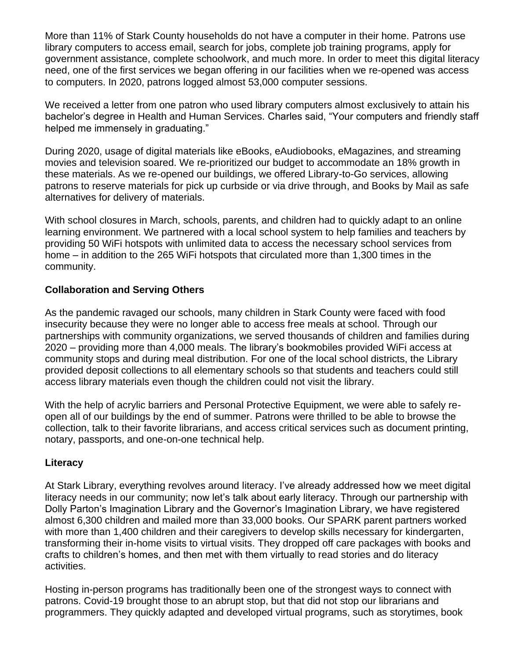More than 11% of Stark County households do not have a computer in their home. Patrons use library computers to access email, search for jobs, complete job training programs, apply for government assistance, complete schoolwork, and much more. In order to meet this digital literacy need, one of the first services we began offering in our facilities when we re-opened was access to computers. In 2020, patrons logged almost 53,000 computer sessions.

We received a letter from one patron who used library computers almost exclusively to attain his bachelor's degree in Health and Human Services. Charles said, "Your computers and friendly staff helped me immensely in graduating."

During 2020, usage of digital materials like eBooks, eAudiobooks, eMagazines, and streaming movies and television soared. We re-prioritized our budget to accommodate an 18% growth in these materials. As we re-opened our buildings, we offered Library-to-Go services, allowing patrons to reserve materials for pick up curbside or via drive through, and Books by Mail as safe alternatives for delivery of materials.

With school closures in March, schools, parents, and children had to quickly adapt to an online learning environment. We partnered with a local school system to help families and teachers by providing 50 WiFi hotspots with unlimited data to access the necessary school services from home – in addition to the 265 WiFi hotspots that circulated more than 1,300 times in the community.

## **Collaboration and Serving Others**

As the pandemic ravaged our schools, many children in Stark County were faced with food insecurity because they were no longer able to access free meals at school. Through our partnerships with community organizations, we served thousands of children and families during 2020 – providing more than 4,000 meals. The library's bookmobiles provided WiFi access at community stops and during meal distribution. For one of the local school districts, the Library provided deposit collections to all elementary schools so that students and teachers could still access library materials even though the children could not visit the library.

With the help of acrylic barriers and Personal Protective Equipment, we were able to safely reopen all of our buildings by the end of summer. Patrons were thrilled to be able to browse the collection, talk to their favorite librarians, and access critical services such as document printing, notary, passports, and one-on-one technical help.

## **Literacy**

At Stark Library, everything revolves around literacy. I've already addressed how we meet digital literacy needs in our community; now let's talk about early literacy. Through our partnership with Dolly Parton's Imagination Library and the Governor's Imagination Library, we have registered almost 6,300 children and mailed more than 33,000 books. Our SPARK parent partners worked with more than 1,400 children and their caregivers to develop skills necessary for kindergarten. transforming their in-home visits to virtual visits. They dropped off care packages with books and crafts to children's homes, and then met with them virtually to read stories and do literacy activities.

Hosting in-person programs has traditionally been one of the strongest ways to connect with patrons. Covid-19 brought those to an abrupt stop, but that did not stop our librarians and programmers. They quickly adapted and developed virtual programs, such as storytimes, book